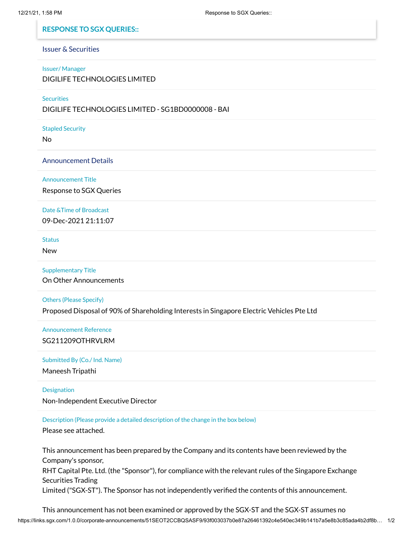## **RESPONSE TO SGX QUERIES::**

# Issuer & Securities

#### Issuer/ Manager

DIGILIFE TECHNOLOGIES LIMITED

**Securities** 

DIGILIFE TECHNOLOGIES LIMITED - SG1BD0000008 - BAI

Stapled Security

No

Announcement Details

Announcement Title

Response to SGX Queries

Date &Time of Broadcast

09-Dec-2021 21:11:07

**Status** 

New

Supplementary Title

On Other Announcements

Others (Please Specify)

Proposed Disposal of 90% of Shareholding Interests in Singapore Electric Vehicles Pte Ltd

Announcement Reference SG211209OTHRVLRM

### Submitted By (Co./ Ind. Name)

Maneesh Tripathi

## **Designation**

Non-Independent Executive Director

Description (Please provide a detailed description of the change in the box below)

Please see attached.

This announcement has been prepared by the Company and its contents have been reviewed by the Company's sponsor, RHT Capital Pte. Ltd. (the "Sponsor"), for compliance with the relevant rules of the Singapore Exchange Securities Trading Limited ("SGX-ST"). The Sponsor has not independently verified the contents of this announcement.